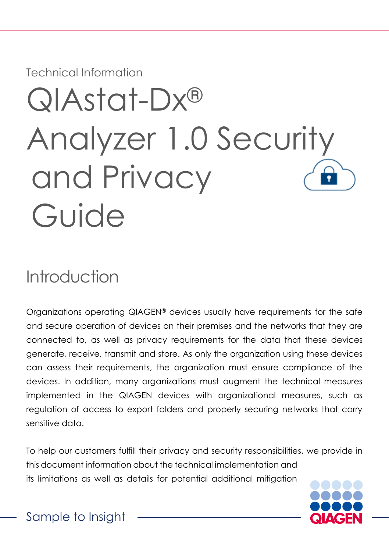Technical Information

# QIAstat-Dx® Analyzer 1.0 Security and Privacy Guide

# Introduction

Organizations operating QIAGEN® devices usually have requirements for the safe and secure operation of devices on their premises and the networks that they are connected to, as well as privacy requirements for the data that these devices generate, receive, transmit and store. As only the organization using these devices can assess their requirements, the organization must ensure compliance of the devices. In addition, many organizations must augment the technical measures implemented in the QIAGEN devices with organizational measures, such as regulation of access to export folders and properly securing networks that carry sensitive data.

To help our customers fulfill their privacy and security responsibilities, we provide in this document information about the technical implementation and its limitations as well as details for potential additional mitigation



Sample to Insight\_\_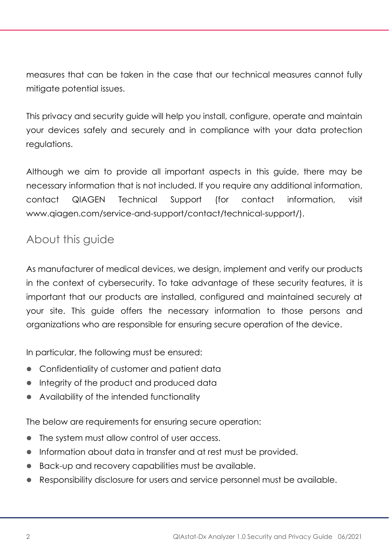measures that can be taken in the case that our technical measures cannot fully mitigate potential issues.

This privacy and security guide will help you install, configure, operate and maintain your devices safely and securely and in compliance with your data protection regulations.

Although we aim to provide all important aspects in this guide, there may be necessary information that is not included. If you require any additional information, contact QIAGEN Technical Support (for contact information, visit [www.qiagen.com/service-and-support/contact/technical-support/\)](http://www.qiagen.com/service-and-support/contact/technical-support/).

### About this guide

As manufacturer of medical devices, we design, implement and verify our products in the context of cybersecurity. To take advantage of these security features, it is important that our products are installed, configured and maintained securely at your site. This guide offers the necessary information to those persons and organizations who are responsible for ensuring secure operation of the device.

In particular, the following must be ensured:

- ⚫ Confidentiality of customer and patient data
- ⚫ Integrity of the product and produced data
- Availability of the intended functionality

The below are requirements for ensuring secure operation:

- The system must allow control of user access.
- ⚫ Information about data in transfer and at rest must be provided.
- ⚫ Back-up and recovery capabilities must be available.
- ⚫ Responsibility disclosure for users and service personnel must be available.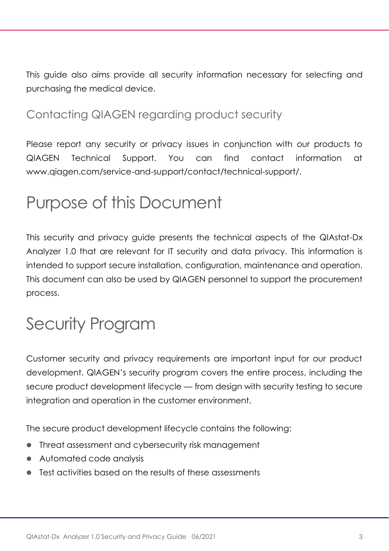This guide also aims provide all security information necessary for selecting and purchasing the medical device.

# Contacting QIAGEN regarding product security

Please report any security or privacy issues in conjunction with our products to QIAGEN Technical Support. You can find contact information at [www.qiagen.com/service-and-support/contact/technical-support/.](http://www.qiagen.com/service-and-support/contact/technical-support/)

# Purpose of this Document

This security and privacy guide presents the technical aspects of the QIAstat-Dx Analyzer 1.0 that are relevant for IT security and data privacy. This information is intended to support secure installation, configuration, maintenance and operation. This document can also be used by QIAGEN personnel to support the procurement process.

# Security Program

Customer security and privacy requirements are important input for our product development. QIAGEN's security program covers the entire process, including the secure product development lifecycle — from design with security testing to secure integration and operation in the customer environment.

The secure product development lifecycle contains the following:

- Threat assessment and cybersecurity risk management
- ⚫ Automated code analysis
- ⚫ Test activities based on the results of these assessments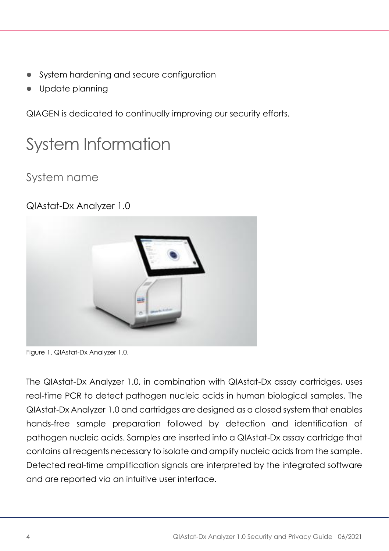- ⚫ System hardening and secure configuration
- Update planning

QIAGEN is dedicated to continually improving our security efforts.

# System Information

### System name

#### QIAstat-Dx Analyzer 1.0



Figure 1. QIAstat-Dx Analyzer 1.0.

The QIAstat-Dx Analyzer 1.0, in combination with QIAstat-Dx assay cartridges, uses real-time PCR to detect pathogen nucleic acids in human biological samples. The QIAstat-Dx Analyzer 1.0 and cartridges are designed as a closed system that enables hands-free sample preparation followed by detection and identification of pathogen nucleic acids. Samples are inserted into a QIAstat-Dx assay cartridge that contains all reagents necessary to isolate and amplify nucleic acids from the sample. Detected real-time amplification signals are interpreted by the integrated software and are reported via an intuitive user interface.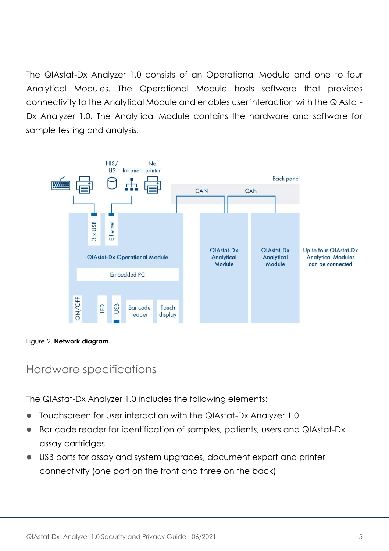The QIAstat-Dx Analyzer 1.0 consists of an Operational Module and one to four Analytical Modules. The Operational Module hosts software that provides connectivity to the Analytical Module and enables user interaction with the QIAstat-Dx Analyzer 1.0. The Analytical Module contains the hardware and software for sample testing and analysis.



Figure 2. **Network diagram.**

#### Hardware specifications

The QIAstat-Dx Analyzer 1.0 includes the following elements:

- ⚫ Touchscreen for user interaction with the QIAstat-Dx Analyzer 1.0
- ⚫ Bar code reader for identification of samples, patients, users and QIAstat-Dx assay cartridges
- USB ports for assay and system upgrades, document export and printer connectivity (one port on the front and three on the back)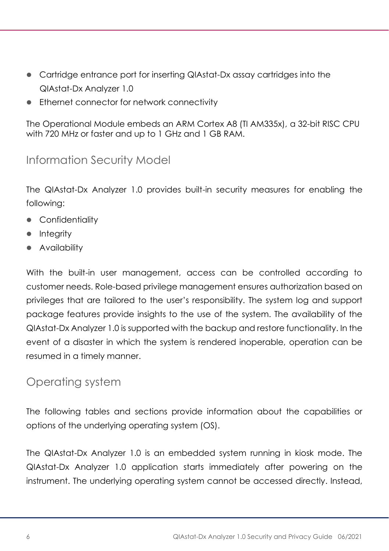- Cartridge entrance port for inserting QIAstat-Dx assay cartridges into the QIAstat-Dx Analyzer 1.0
- ⚫ Ethernet connector for network connectivity

The Operational Module embeds an ARM Cortex A8 (TI AM335x), a 32-bit RISC CPU with 720 MHz or faster and up to 1 GHz and 1 GB RAM.

### Information Security Model

The QIAstat-Dx Analyzer 1.0 provides built-in security measures for enabling the following:

- Confidentiality
- Integrity
- ⚫ Availability

With the built-in user management, access can be controlled according to customer needs. Role-based privilege management ensures authorization based on privileges that are tailored to the user's responsibility. The system log and support package features provide insights to the use of the system. The availability of the QIAstat-Dx Analyzer 1.0 is supported with the backup and restore functionality. In the event of a disaster in which the system is rendered inoperable, operation can be resumed in a timely manner.

#### <span id="page-5-0"></span>Operating system

The following tables and sections provide information about the capabilities or options of the underlying operating system (OS).

The QIAstat-Dx Analyzer 1.0 is an embedded system running in kiosk mode. The QIAstat-Dx Analyzer 1.0 application starts immediately after powering on the instrument. The underlying operating system cannot be accessed directly. Instead,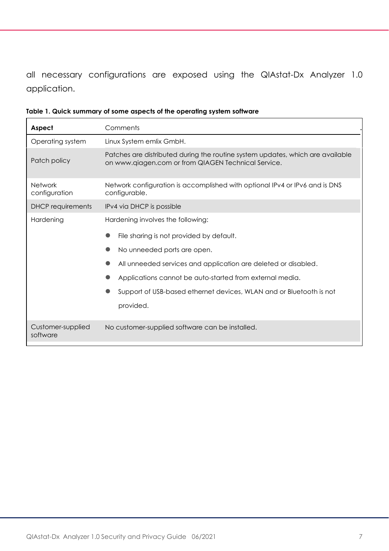all necessary configurations are exposed using the QIAstat-Dx Analyzer 1.0 application.

| Aspect                          | Comments                                                                                                                                                                                                                                                                                                                       |  |  |
|---------------------------------|--------------------------------------------------------------------------------------------------------------------------------------------------------------------------------------------------------------------------------------------------------------------------------------------------------------------------------|--|--|
| Operating system                | Linux System emlix GmbH.                                                                                                                                                                                                                                                                                                       |  |  |
| Patch policy                    | Patches are distributed during the routine system updates, which are available<br>on www.qiagen.com or from QIAGEN Technical Service.                                                                                                                                                                                          |  |  |
| <b>Network</b><br>configuration | Network configuration is accomplished with optional IPv4 or IPv6 and is DNS<br>configurable.                                                                                                                                                                                                                                   |  |  |
| <b>DHCP</b> requirements        | IPv4 via DHCP is possible                                                                                                                                                                                                                                                                                                      |  |  |
| Hardening                       | Hardening involves the following:<br>File sharing is not provided by default.<br>No unneeded ports are open.<br>All unneeded services and application are deleted or disabled.<br>Applications cannot be auto-started from external media.<br>Support of USB-based ethernet devices, WLAN and or Bluetooth is not<br>provided. |  |  |
| Customer-supplied<br>software   | No customer-supplied software can be installed.                                                                                                                                                                                                                                                                                |  |  |

<span id="page-6-0"></span>**Table 1. Quick summary of some aspects of the operating system software**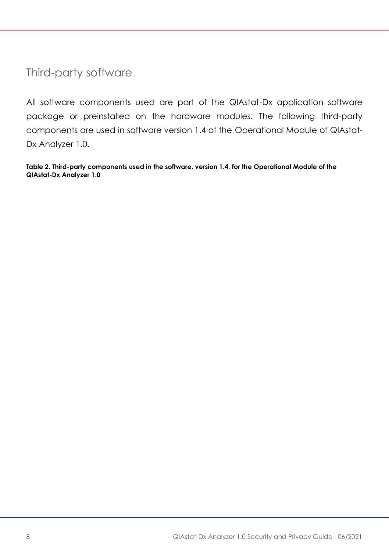Third-party software

All software components used are part of the QIAstat-Dx application software package or preinstalled on the hardware modules. The following third-party components are used in software version 1.4 of the Operational Module of QIAstat-Dx Analyzer 1.0.

**Table 2. Third-party components used in the software, version 1.4, for the Operational Module of the QIAstat-Dx Analyzer 1.0**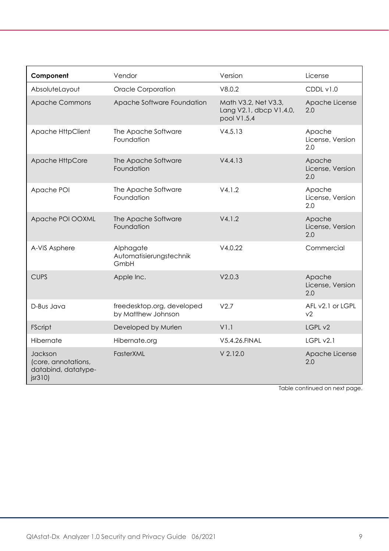| Component                                                       | Vendor                                           | Version                                                        | License                            |
|-----------------------------------------------------------------|--------------------------------------------------|----------------------------------------------------------------|------------------------------------|
| AbsoluteLayout                                                  | <b>Oracle Corporation</b>                        | V8.0.2                                                         | CDDL v1.0                          |
| <b>Apache Commons</b>                                           | Apache Software Foundation                       | Math V3.2, Net V3.3,<br>Lang V2.1, dbcp V1.4.0,<br>pool V1.5.4 | Apache License<br>2.0              |
| Apache HttpClient                                               | The Apache Software<br>Foundation                | V4.5.13                                                        | Apache<br>License, Version<br>2.0  |
| Apache HttpCore                                                 | The Apache Software<br>Foundation                | V4.4.13                                                        | Apache<br>License, Version<br>2.0  |
| Apache POI                                                      | The Apache Software<br>Foundation                | V4.1.2                                                         | Apache<br>License, Version<br>2.0  |
| Apache POI OOXML                                                | The Apache Software<br>Foundation                | V4.1.2                                                         | Apache<br>License, Version<br>2.0  |
| A-VIS Asphere                                                   | Alphagate<br>Automatisierungstechnik<br>GmbH     | V4.0.22                                                        | Commercial                         |
| <b>CUPS</b>                                                     | Apple Inc.                                       | V2.0.3                                                         | Apache<br>License, Version<br>2.0  |
| D-Bus Java                                                      | freedesktop.org, developed<br>by Matthew Johnson | V2.7                                                           | AFL v2.1 or LGPL<br>v <sub>2</sub> |
| FScript                                                         | Developed by Murlen                              | V1.1                                                           | LGPL v2                            |
| Hibernate                                                       | Hibernate.org                                    | V5.4.26.FINAL                                                  | LGPL v2.1                          |
| Jackson<br>(core, annotations,<br>databind, datatype-<br>jsr310 | FasterXML                                        | $V$ 2.12.0                                                     | Apache License<br>2.0              |

Table continued on next page.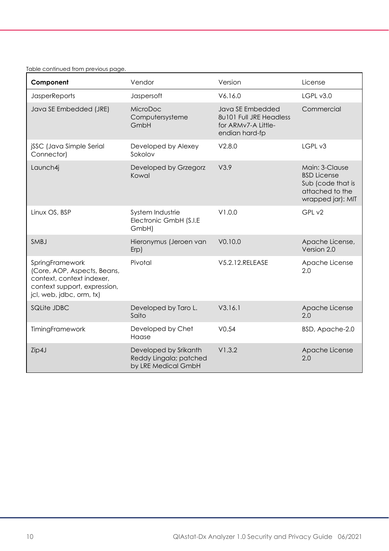#### Table continued from previous page.

| Component                                                                                                                               | Vendor                                                                 | Version                                                                              | License                                                                                           |
|-----------------------------------------------------------------------------------------------------------------------------------------|------------------------------------------------------------------------|--------------------------------------------------------------------------------------|---------------------------------------------------------------------------------------------------|
| <b>JasperReports</b>                                                                                                                    | Jaspersoft                                                             | V6.16.0                                                                              | LGPL v3.0                                                                                         |
| Java SE Embedded (JRE)                                                                                                                  | MicroDoc<br>Computersysteme<br>GmbH                                    | Java SE Embedded<br>8u101 Full JRE Headless<br>for ARMv7-A Little-<br>endian hard-fp | Commercial                                                                                        |
| jSSC (Java Simple Serial<br>Connector)                                                                                                  | Developed by Alexey<br>Sokolov                                         | V2.8.0                                                                               | LGPL v3                                                                                           |
| Launch4j                                                                                                                                | Developed by Grzegorz<br>Kowal                                         | V3.9                                                                                 | Main: 3-Clause<br><b>BSD</b> License<br>Sub (code that is<br>attached to the<br>wrapped jar): MIT |
| Linux OS, BSP                                                                                                                           | System Industrie<br>Electronic GmbH (S.I.E<br>GmbH)                    | V1.0.0                                                                               | GPL v2                                                                                            |
| <b>SMBJ</b>                                                                                                                             | Hieronymus (Jeroen van<br>$Erp$ )                                      | V0.10.0                                                                              | Apache License,<br>Version 2.0                                                                    |
| SpringFramework<br>(Core, AOP, Aspects, Beans,<br>context, context indexer.<br>context support, expression,<br>jcl, web, jdbc, orm, tx) | Pivotal                                                                | V5.2.12.RELEASE                                                                      | Apache License<br>2.0                                                                             |
| SQLite JDBC                                                                                                                             | Developed by Taro L.<br>Saito                                          | V3.16.1                                                                              | Apache License<br>2.0                                                                             |
| TimingFramework                                                                                                                         | Developed by Chef<br>Haase                                             | V0.54                                                                                | BSD, Apache-2.0                                                                                   |
| Zip4J                                                                                                                                   | Developed by Srikanth<br>Reddy Lingala; patched<br>by LRE Medical GmbH | V1.3.2                                                                               | Apache License<br>2.0                                                                             |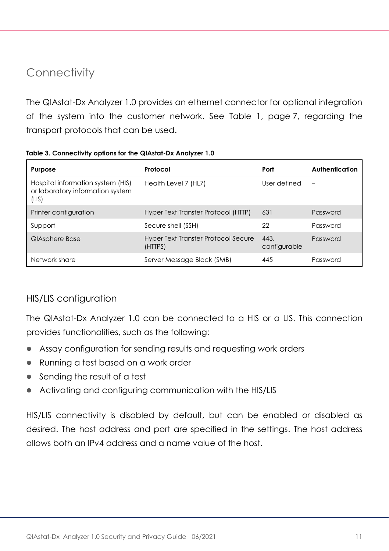### <span id="page-10-0"></span>**Connectivity**

The QIAstat-Dx Analyzer 1.0 provides an ethernet connector for optional integration of the system into the customer network. See [Table 1,](#page-6-0) page [7,](#page-6-0) regarding the transport protocols that can be used.

| Purpose                                                                        | Protocol                                       | Port                 | Authentication |
|--------------------------------------------------------------------------------|------------------------------------------------|----------------------|----------------|
| Hospital information system (HIS)<br>or laboratory information system<br>(LIS) | Health Level 7 (HL7)                           | User defined         |                |
| Printer configuration                                                          | Hyper Text Transfer Protocol (HTTP)            | 631                  | Password       |
| Support                                                                        | Secure shell (SSH)                             | 22                   | Password       |
| QIAsphere Base                                                                 | Hyper Text Transfer Protocol Secure<br>(HTTPS) | 443.<br>configurable | Password       |
| Network share                                                                  | Server Message Block (SMB)                     | 445                  | Password       |

**Table 3. Connectivity options for the QIAstat-Dx Analyzer 1.0**

#### <span id="page-10-1"></span>HIS/LIS configuration

The QIAstat-Dx Analyzer 1.0 can be connected to a HIS or a LIS. This connection provides functionalities, such as the following:

- ⚫ Assay configuration for sending results and requesting work orders
- Running a test based on a work order
- Sending the result of a test
- Activating and configuring communication with the HIS/LIS

HIS/LIS connectivity is disabled by default, but can be enabled or disabled as desired. The host address and port are specified in the settings. The host address allows both an IPv4 address and a name value of the host.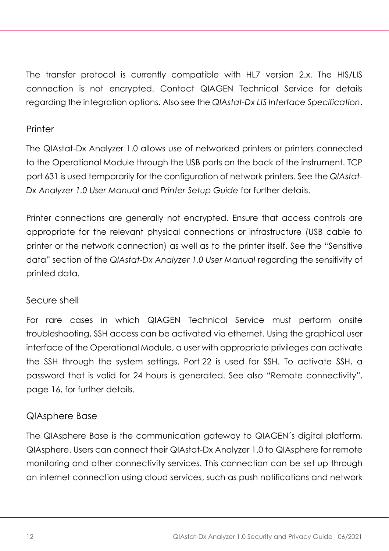The transfer protocol is currently compatible with HL7 version 2.x. The HIS/LIS connection is not encrypted. Contact QIAGEN Technical Service for details regarding the integration options. Also see the *QIAstat-Dx LIS Interface Specification*.

#### **Printer**

The QIAstat-Dx Analyzer 1.0 allows use of networked printers or printers connected to the Operational Module through the USB ports on the back of the instrument. TCP port 631 is used temporarily for the configuration of network printers. See the *QIAstat-Dx Analyzer 1.0 User Manual* and *Printer Setup Guide* for further details.

Printer connections are generally not encrypted. Ensure that access controls are appropriate for the relevant physical connections or infrastructure (USB cable to printer or the network connection) as well as to the printer itself. See the "[Sensitive](#page-13-0)  [data](#page-13-0)" section of the *QIAstat-Dx Analyzer 1.0 User Manual* regarding the sensitivity of printed data.

#### Secure shell

For rare cases in which QIAGEN Technical Service must perform onsite troubleshooting, SSH access can be activated via ethernet. Using the graphical user interface of the Operational Module, a user with appropriate privileges can activate the SSH through the system settings. Port 22 is used for SSH. To activate SSH, a password that is valid for 24 hours is generated. See also "[Remote connectivity](#page-15-0)", page [16,](#page-15-0) for further details.

#### QIAsphere Base

The QIAsphere Base is the communication gateway to QIAGEN´s digital platform, QIAsphere. Users can connect their QIAstat-Dx Analyzer 1.0 to QIAsphere for remote monitoring and other connectivity services. This connection can be set up through an internet connection using cloud services, such as push notifications and network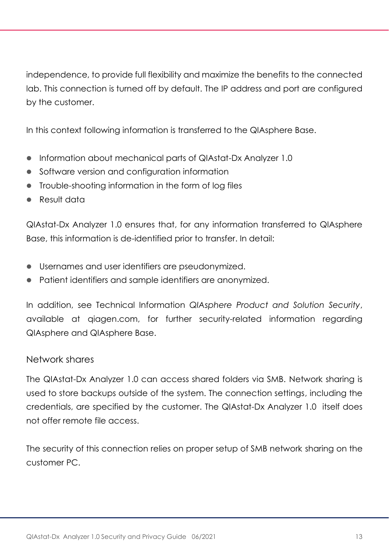independence, to provide full flexibility and maximize the benefits to the connected lab. This connection is turned off by default. The IP address and port are configured by the customer.

In this context following information is transferred to the QIAsphere Base.

- ⚫ Information about mechanical parts of QIAstat-Dx Analyzer 1.0
- Software version and configuration information
- ⚫ Trouble-shooting information in the form of log files
- ⚫ Result data

QIAstat-Dx Analyzer 1.0 ensures that, for any information transferred to QIAsphere Base, this information is de-identified prior to transfer. In detail:

- Usernames and user identifiers are pseudonymized.
- Patient identifiers and sample identifiers are anonymized.

In addition, see Technical Information *QIAsphere [Product and Solution Security](https://www.qiagen.com/resources/download.aspx?id=297539de-524d-4455-963e-a15cfa214ad8&lang=en)*, available at qiagen.com, for further security-related information regarding QIAsphere and QIAsphere Base.

#### Network shares

The QIAstat-Dx Analyzer 1.0 can access shared folders via SMB. Network sharing is used to store backups outside of the system. The connection settings, including the credentials, are specified by the customer. The QIAstat-Dx Analyzer 1.0 itself does not offer remote file access.

The security of this connection relies on proper setup of SMB network sharing on the customer PC.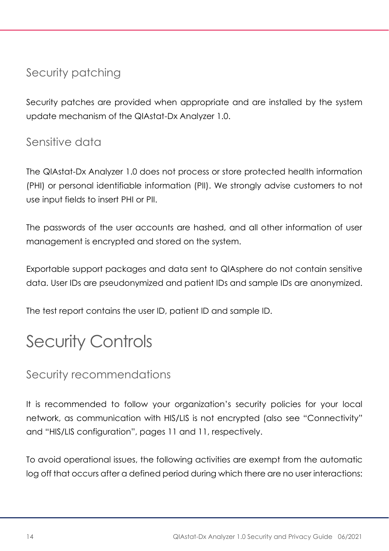# Security patching

Security patches are provided when appropriate and are installed by the system update mechanism of the QIAstat-Dx Analyzer 1.0.

### <span id="page-13-0"></span>Sensitive data

The QIAstat-Dx Analyzer 1.0 does not process or store protected health information (PHI) or personal identifiable information (PII). We strongly advise customers to not use input fields to insert PHI or PII.

The passwords of the user accounts are hashed, and all other information of user management is encrypted and stored on the system.

Exportable support packages and data sent to QIAsphere do not contain sensitive data. User IDs are pseudonymized and patient IDs and sample IDs are anonymized.

The test report contains the user ID, patient ID and sample ID.

# Security Controls

### Security recommendations

It is recommended to follow your organization's security policies for your local network, as communication with HIS/LIS is not encrypted (also see "[Connectivity](#page-10-0)" and "HIS/LIS [configuration](#page-10-1)", pages [11](#page-10-0) an[d 11,](#page-10-1) respectively.

To avoid operational issues, the following activities are exempt from the automatic log off that occurs after a defined period during which there are no user interactions: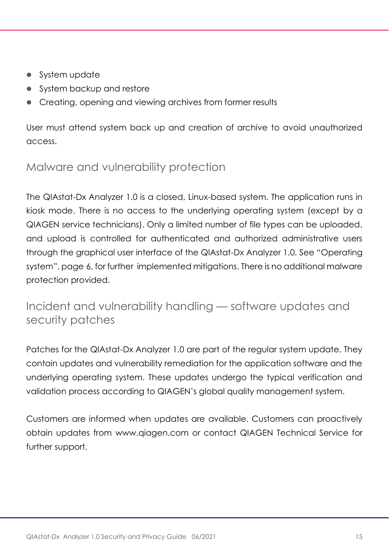- System update
- System backup and restore
- Creating, opening and viewing archives from former results

User must attend system back up and creation of archive to avoid unauthorized access.

### Malware and vulnerability protection

The QIAstat-Dx Analyzer 1.0 is a closed, Linux-based system. The application runs in kiosk mode. There is no access to the underlying operating system (except by a QIAGEN service technicians). Only a limited number of file types can be uploaded, and upload is controlled for authenticated and authorized administrative users through the graphical user interface of the QIAstat-Dx Analyzer 1.0. See "[Operating](#page-5-0)  [system](#page-5-0)", page [6,](#page-5-0) for further implemented mitigations. There is no additional malware protection provided.

### Incident and vulnerability handling — software updates and security patches

Patches for the QIAstat-Dx Analyzer 1.0 are part of the regular system update. They contain updates and vulnerability remediation for the application software and the underlying operating system. These updates undergo the typical verification and validation process according to QIAGEN's global quality management system.

Customers are informed when updates are available. Customers can proactively obtain updates from [www.qiagen.com](http://www.qiagen.com/) or contact QIAGEN Technical Service for further support.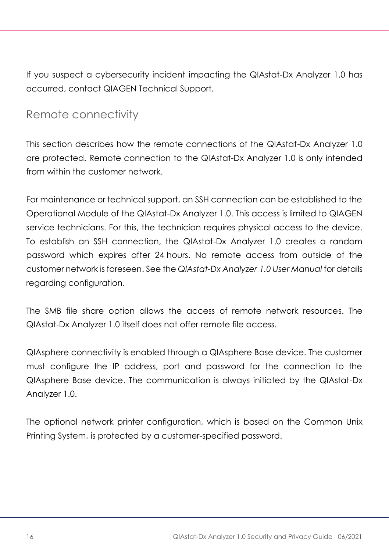If you suspect a cybersecurity incident impacting the QIAstat-Dx Analyzer 1.0 has occurred, contact QIAGEN Technical Support.

### <span id="page-15-0"></span>Remote connectivity

This section describes how the remote connections of the QIAstat-Dx Analyzer 1.0 are protected. Remote connection to the QIAstat-Dx Analyzer 1.0 is only intended from within the customer network.

For maintenance or technical support, an SSH connection can be established to the Operational Module of the QIAstat-Dx Analyzer 1.0. This access is limited to QIAGEN service technicians. For this, the technician requires physical access to the device. To establish an SSH connection, the QIAstat-Dx Analyzer 1.0 creates a random password which expires after 24 hours. No remote access from outside of the customer network is foreseen. See the *QIAstat-Dx Analyzer 1.0 User Manual* for details regarding configuration.

The SMB file share option allows the access of remote network resources. The QIAstat-Dx Analyzer 1.0 itself does not offer remote file access.

QIAsphere connectivity is enabled through a QIAsphere Base device. The customer must configure the IP address, port and password for the connection to the QIAsphere Base device. The communication is always initiated by the QIAstat-Dx Analyzer 1.0.

The optional network printer configuration, which is based on the Common Unix Printing System, is protected by a customer-specified password.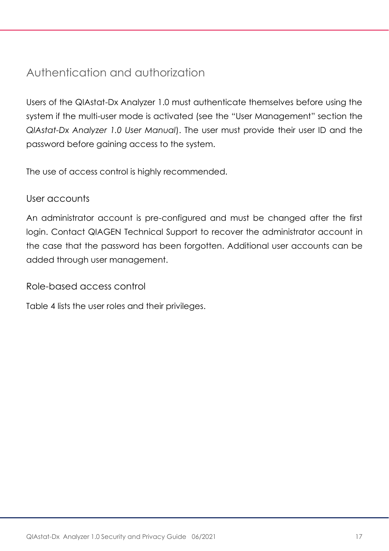# Authentication and authorization

Users of the QIAstat-Dx Analyzer 1.0 must authenticate themselves before using the system if the multi-user mode is activated (see the "User Management" section the *QIAstat-Dx Analyzer 1.0 User Manual*). The user must provide their user ID and the password before gaining access to the system.

The use of access control is highly recommended.

#### User accounts

An administrator account is pre-configured and must be changed after the first login. Contact QIAGEN Technical Support to recover the administrator account in the case that the password has been forgotten. Additional user accounts can be added through user management.

#### Role-based access control

[Table 4](#page-17-0) lists the user roles and their privileges.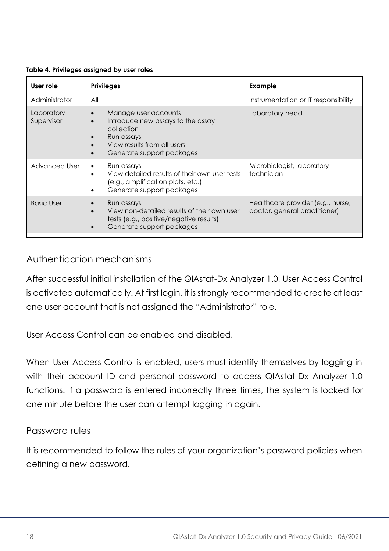| User role                | <b>Privileges</b>                                                                                                                                 | Example                                                            |
|--------------------------|---------------------------------------------------------------------------------------------------------------------------------------------------|--------------------------------------------------------------------|
| Administrator            | All                                                                                                                                               | Instrumentation or IT responsibility                               |
| Laboratory<br>Supervisor | Manage user accounts<br>Introduce new assays to the assay<br>collection<br>Run assays<br>View results from all users<br>Generate support packages | Laboratory head                                                    |
| Advanced User            | Run assays<br>View detailed results of their own user tests<br>(e.g., amplification plots, etc.)<br>Generate support packages                     | Microbiologist, laboratory<br>technician                           |
| <b>Basic User</b>        | Run assays<br>View non-detailed results of their own user<br>tests (e.g., positive/negative results)<br>Generate support packages<br>$\bullet$    | Healthcare provider (e.g., nurse,<br>doctor, general practitioner) |

#### <span id="page-17-0"></span>**Table 4. Privileges assigned by user roles**

#### Authentication mechanisms

After successful initial installation of the QIAstat-Dx Analyzer 1.0, User Access Control is activated automatically. At first login, it is strongly recommended to create at least one user account that is not assigned the "Administrator" role.

User Access Control can be enabled and disabled.

When User Access Control is enabled, users must identify themselves by logging in with their account ID and personal password to access QIAstat-Dx Analyzer 1.0 functions. If a password is entered incorrectly three times, the system is locked for one minute before the user can attempt logging in again.

#### Password rules

It is recommended to follow the rules of your organization's password policies when defining a new password.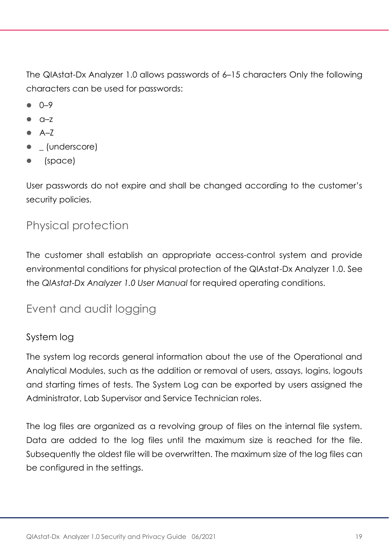The QIAstat-Dx Analyzer 1.0 allows passwords of 6–15 characters Only the following characters can be used for passwords:

- $0 9$
- $Q Z$
- $A 7$
- *\_* (underscore)
- (space)

User passwords do not expire and shall be changed according to the customer's security policies.

# Physical protection

The customer shall establish an appropriate access-control system and provide environmental conditions for physical protection of the QIAstat-Dx Analyzer 1.0. See the *QIAstat-Dx Analyzer 1.0 User Manual* for required operating conditions.

# Event and audit logging

#### System log

The system log records general information about the use of the Operational and Analytical Modules, such as the addition or removal of users, assays, logins, logouts and starting times of tests. The System Log can be exported by users assigned the Administrator, Lab Supervisor and Service Technician roles.

The log files are organized as a revolving group of files on the internal file system. Data are added to the log files until the maximum size is reached for the file. Subsequently the oldest file will be overwritten. The maximum size of the log files can be configured in the settings.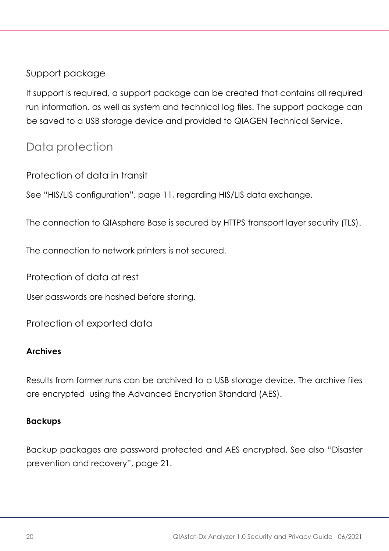#### Support package

If support is required, a support package can be created that contains all required run information, as well as system and technical log files. The support package can be saved to a USB storage device and provided to QIAGEN Technical Service.

### Data protection

Protection of data in transit

See "HIS/LIS [configuration](#page-10-1)", page [11,](#page-10-1) regarding HIS/LIS data exchange.

The connection to QIAsphere Base is secured by HTTPS transport layer security (TLS).

The connection to network printers is not secured.

Protection of data at rest

User passwords are hashed before storing.

Protection of exported data

#### **Archives**

Results from former runs can be archived to a USB storage device. The archive files are encrypted using the Advanced Encryption Standard (AES).

#### **Backups**

Backup packages are password protected and AES encrypted. See also "[Disaster](#page-20-0)  [prevention and recovery](#page-20-0)", page [21.](#page-20-0)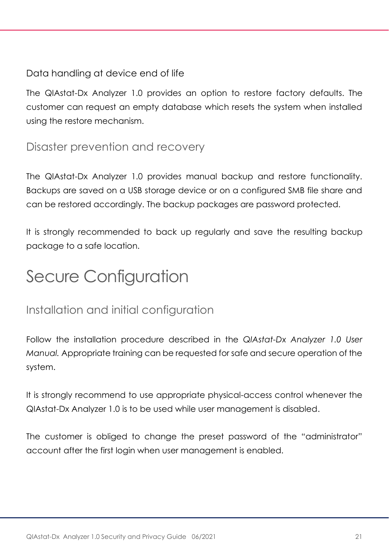#### Data handling at device end of life

The QIAstat-Dx Analyzer 1.0 provides an option to restore factory defaults. The customer can request an empty database which resets the system when installed using the restore mechanism.

#### <span id="page-20-0"></span>Disaster prevention and recovery

The QIAstat-Dx Analyzer 1.0 provides manual backup and restore functionality. Backups are saved on a USB storage device or on a configured SMB file share and can be restored accordingly. The backup packages are password protected.

It is strongly recommended to back up regularly and save the resulting backup package to a safe location.

# Secure Configuration

# Installation and initial configuration

Follow the installation procedure described in the *QIAstat-Dx Analyzer 1.0 User Manual.* Appropriate training can be requested for safe and secure operation of the system.

It is strongly recommend to use appropriate physical-access control whenever the QIAstat-Dx Analyzer 1.0 is to be used while user management is disabled.

The customer is obliged to change the preset password of the "administrator" account after the first login when user management is enabled.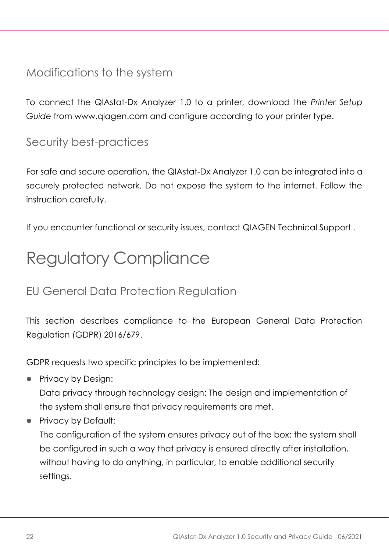### Modifications to the system

To connect the QIAstat-Dx Analyzer 1.0 to a printer, download the *Printer Setup Guide* from www.qiagen.com and configure according to your printer type.

# Security best-practices

For safe and secure operation, the QIAstat-Dx Analyzer 1.0 can be integrated into a securely protected network. Do not expose the system to the internet. Follow the instruction carefully.

If you encounter functional or security issues, contact QIAGEN Technical Support.

# Regulatory Compliance

# EU General Data Protection Regulation

This section describes compliance to the European General Data Protection Regulation (GDPR) 2016/679.

GDPR requests two specific principles to be implemented:

● Privacy by Desian:

Data privacy through technology design: The design and implementation of the system shall ensure that privacy requirements are met.

● Privacy by Default:

The configuration of the system ensures privacy out of the box: the system shall be configured in such a way that privacy is ensured directly after installation, without having to do anything, in particular, to enable additional security settings.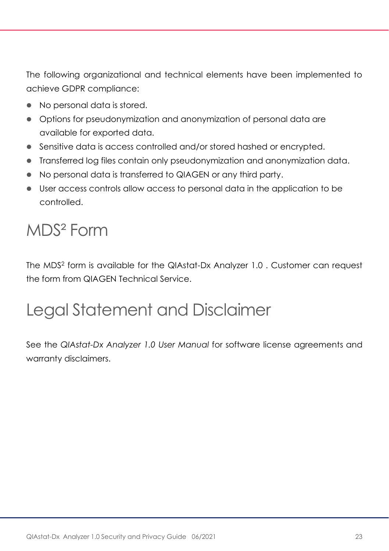The following organizational and technical elements have been implemented to achieve GDPR compliance:

- ⚫ No personal data is stored.
- ⚫ Options for pseudonymization and anonymization of personal data are available for exported data.
- Sensitive data is access controlled and/or stored hashed or encrypted.
- ⚫ Transferred log files contain only pseudonymization and anonymization data.
- ⚫ No personal data is transferred to QIAGEN or any third party.
- ⚫ User access controls allow access to personal data in the application to be controlled.

# MDS² Form

The MDS<sup>2</sup> form is available for the QIAstat-Dx Analyzer 1.0 . Customer can request the form from QIAGEN Technical Service.

# Legal Statement and Disclaimer

See the *QIAstat-Dx Analyzer 1.0 User Manual* for software license agreements and warranty disclaimers.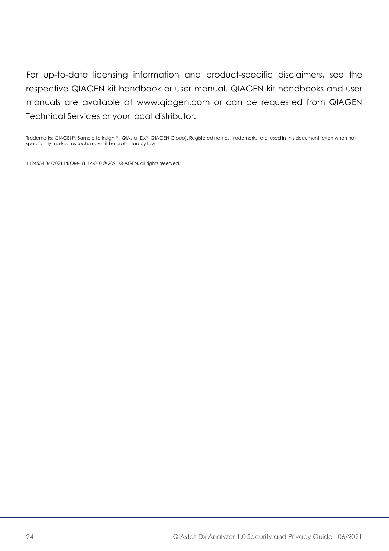For up-to-date licensing information and product-specific disclaimers, see the respective QIAGEN kit handbook or user manual. QIAGEN kit handbooks and user manuals are available at www.qiagen.com or can be requested from QIAGEN Technical Services or your local distributor.

Trademarks: QIAGEN®; Sample to Insight®, QIAstat-Dx® (QIAGEN Group). Registered names, trademarks, etc. used in this document, even when not specifically marked as such, may still be protected by law.

1124534 06/2021 PROM-18114-010 © 2021 QIAGEN, all rights reserved.